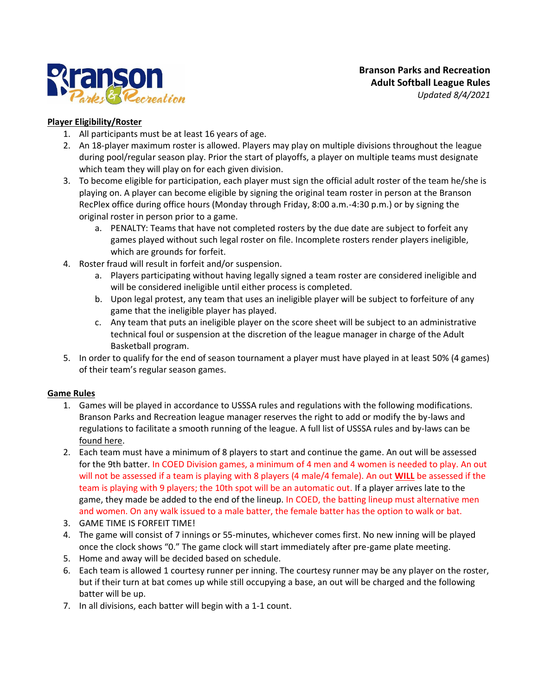

# **Player Eligibility/Roster**

- 1. All participants must be at least 16 years of age.
- 2. An 18-player maximum roster is allowed. Players may play on multiple divisions throughout the league during pool/regular season play. Prior the start of playoffs, a player on multiple teams must designate which team they will play on for each given division.
- 3. To become eligible for participation, each player must sign the official adult roster of the team he/she is playing on. A player can become eligible by signing the original team roster in person at the Branson RecPlex office during office hours (Monday through Friday, 8:00 a.m.-4:30 p.m.) or by signing the original roster in person prior to a game.
	- a. PENALTY: Teams that have not completed rosters by the due date are subject to forfeit any games played without such legal roster on file. Incomplete rosters render players ineligible, which are grounds for forfeit.
- 4. Roster fraud will result in forfeit and/or suspension.
	- a. Players participating without having legally signed a team roster are considered ineligible and will be considered ineligible until either process is completed.
	- b. Upon legal protest, any team that uses an ineligible player will be subject to forfeiture of any game that the ineligible player has played.
	- c. Any team that puts an ineligible player on the score sheet will be subject to an administrative technical foul or suspension at the discretion of the league manager in charge of the Adult Basketball program.
- 5. In order to qualify for the end of season tournament a player must have played in at least 50% (4 games) of their team's regular season games.

#### **Game Rules**

- 1. Games will be played in accordance to USSSA rules and regulations with the following modifications. Branson Parks and Recreation league manager reserves the right to add or modify the by-laws and regulations to facilitate a smooth running of the league. A full list of USSSA rules and by-laws can be [found here.](https://usssa.com/docs/2020/USSSA_SPRB_20_121919_rev.pdf)
- 2. Each team must have a minimum of 8 players to start and continue the game. An out will be assessed for the 9th batter. In COED Division games, a minimum of 4 men and 4 women is needed to play. An out will not be assessed if a team is playing with 8 players (4 male/4 female). An out **WILL** be assessed if the team is playing with 9 players; the 10th spot will be an automatic out. If a player arrives late to the game, they made be added to the end of the lineup. In COED, the batting lineup must alternative men and women. On any walk issued to a male batter, the female batter has the option to walk or bat.
- 3. GAME TIME IS FORFEIT TIME!
- 4. The game will consist of 7 innings or 55-minutes, whichever comes first. No new inning will be played once the clock shows "0." The game clock will start immediately after pre-game plate meeting.
- 5. Home and away will be decided based on schedule.
- 6. Each team is allowed 1 courtesy runner per inning. The courtesy runner may be any player on the roster, but if their turn at bat comes up while still occupying a base, an out will be charged and the following batter will be up.
- 7. In all divisions, each batter will begin with a 1-1 count.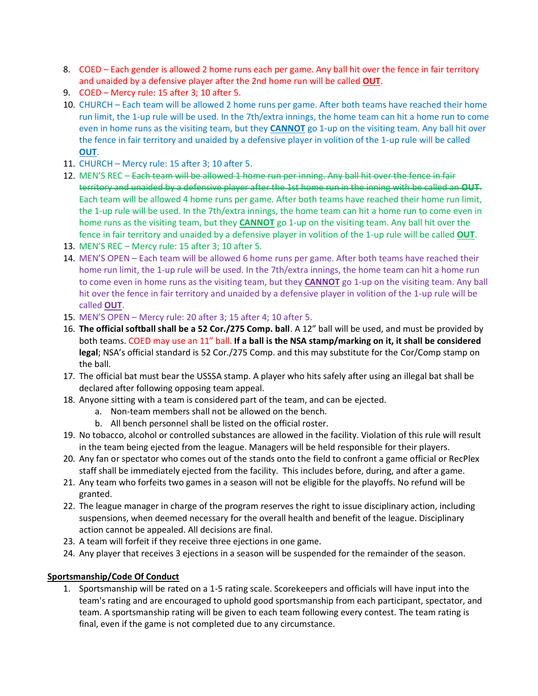- 8. COED Each gender is allowed 2 home runs each per game. Any ball hit over the fence in fair territory and unaided by a defensive player after the 2nd home run will be called **OUT**.
- 9. COED Mercy rule: 15 after 3; 10 after 5.
- 10. CHURCH Each team will be allowed 2 home runs per game. After both teams have reached their home run limit, the 1-up rule will be used. In the 7th/extra innings, the home team can hit a home run to come even in home runs as the visiting team, but they **CANNOT** go 1-up on the visiting team. Any ball hit over the fence in fair territory and unaided by a defensive player in volition of the 1-up rule will be called **OUT**.
- 11. CHURCH Mercy rule: 15 after 3; 10 after 5.
- 12. MEN'S REC Each team will be allowed 1 home run per inning. Any ball hit over the fence in fair territory and unaided by a defensive player after the 1st home run in the inning with be called an **OUT**. Each team will be allowed 4 home runs per game. After both teams have reached their home run limit, the 1-up rule will be used. In the 7th/extra innings, the home team can hit a home run to come even in home runs as the visiting team, but they **CANNOT** go 1-up on the visiting team. Any ball hit over the fence in fair territory and unaided by a defensive player in volition of the 1-up rule will be called **OUT**.
- 13. MEN'S REC Mercy rule: 15 after 3; 10 after 5.
- 14. MEN'S OPEN Each team will be allowed 6 home runs per game. After both teams have reached their home run limit, the 1-up rule will be used. In the 7th/extra innings, the home team can hit a home run to come even in home runs as the visiting team, but they **CANNOT** go 1-up on the visiting team. Any ball hit over the fence in fair territory and unaided by a defensive player in volition of the 1-up rule will be called **OUT**.
- 15. MEN'S OPEN Mercy rule: 20 after 3; 15 after 4; 10 after 5.
- 16. **The official softball shall be a 52 Cor./275 Comp. ball**. A 12" ball will be used, and must be provided by both teams. COED may use an 11" ball. **If a ball is the NSA stamp/marking on it, it shall be considered legal**; NSA's official standard is 52 Cor./275 Comp. and this may substitute for the Cor/Comp stamp on the ball.
- 17. The official bat must bear the USSSA stamp. A player who hits safely after using an illegal bat shall be declared after following opposing team appeal.
- 18. Anyone sitting with a team is considered part of the team, and can be ejected.
	- a. Non-team members shall not be allowed on the bench.
	- b. All bench personnel shall be listed on the official roster.
- 19. No tobacco, alcohol or controlled substances are allowed in the facility. Violation of this rule will result in the team being ejected from the league. Managers will be held responsible for their players.
- 20. Any fan or spectator who comes out of the stands onto the field to confront a game official or RecPlex staff shall be immediately ejected from the facility. This includes before, during, and after a game.
- 21. Any team who forfeits two games in a season will not be eligible for the playoffs. No refund will be granted.
- 22. The league manager in charge of the program reserves the right to issue disciplinary action, including suspensions, when deemed necessary for the overall health and benefit of the league. Disciplinary action cannot be appealed. All decisions are final.
- 23. A team will forfeit if they receive three ejections in one game.
- 24. Any player that receives 3 ejections in a season will be suspended for the remainder of the season.

# **Sportsmanship/Code Of Conduct**

1. Sportsmanship will be rated on a 1-5 rating scale. Scorekeepers and officials will have input into the team's rating and are encouraged to uphold good sportsmanship from each participant, spectator, and team. A sportsmanship rating will be given to each team following every contest. The team rating is final, even if the game is not completed due to any circumstance.